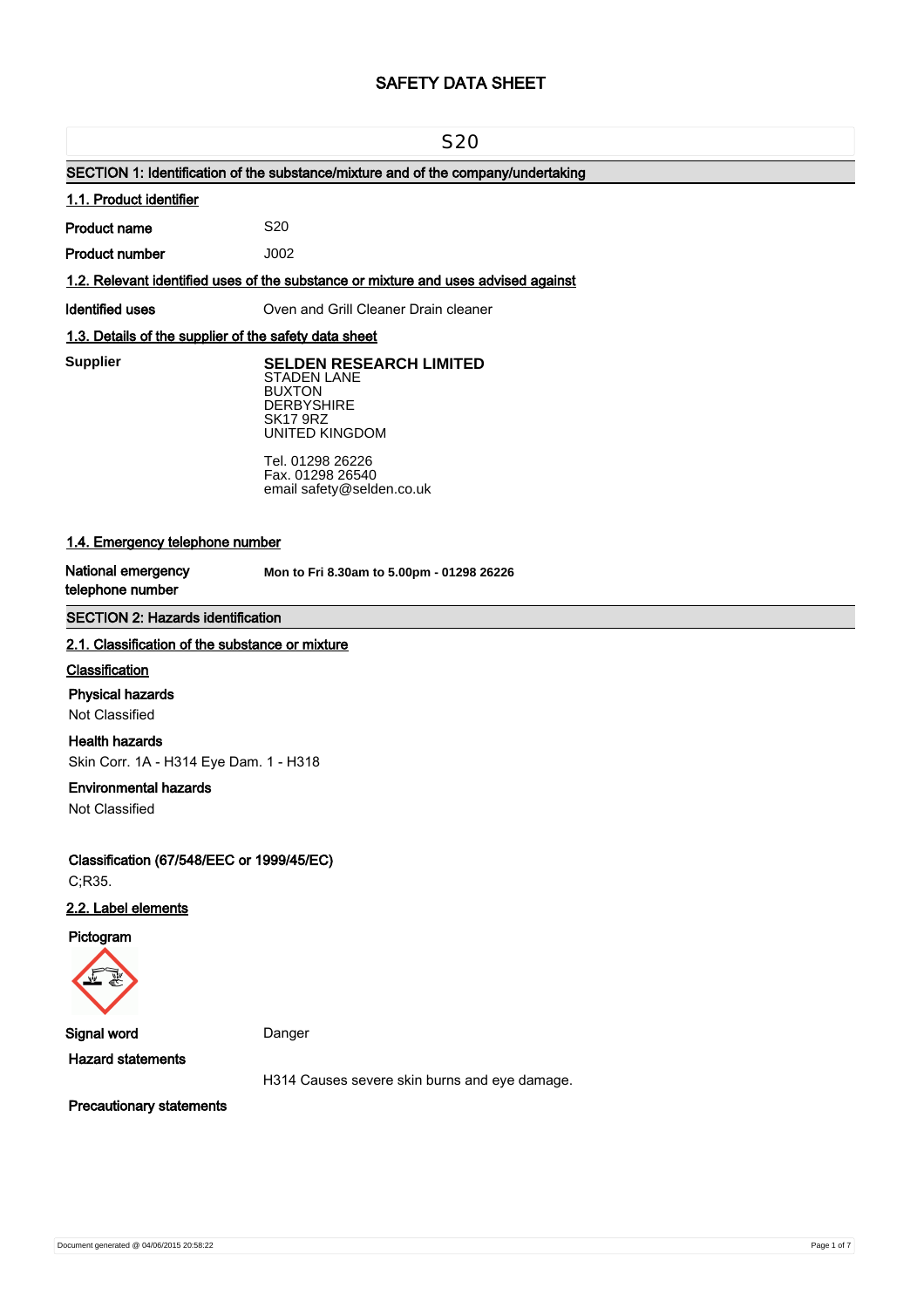# **SAFETY DATA SHEET**

#### S20

# **SECTION 1: Identification of the substance/mixture and of the company/undertaking**

#### **1.1. Product identifier**

**Product name**

**Product number**

#### **1.2. Relevant identified uses of the substance or mixture and uses advised against**

S20 J002

### **Identified uses Oven and Grill Cleaner Drain cleaner**

## **1.3. Details of the supplier of the safety data sheet**

**Supplier** 

# **Supplier SELDEN RESEARCH LIMITED** STADEN LANE BUXTON

**DERBYSHIRE** SK17 9RZ UNITED KINGDOM

Tel. 01298 26226 Fax. 01298 26540 email safety@selden.co.uk

# **1.4. Emergency telephone number**

**National emergency telephone number**

**Mon to Fri 8.30am to 5.00pm - 01298 26226**

## **SECTION 2: Hazards identification**

### **2.1. Classification of the substance or mixture**

#### **Classification**

#### **Physical hazards**

Not Classified

#### **Health hazards**

Skin Corr. 1A - H314 Eye Dam. 1 - H318

#### **Environmental hazards**

Not Classified

**Classification (67/548/EEC or 1999/45/EC)** C;R35.

# **2.2. Label elements**

**Pictogram**



**Signal word** Danger

**Hazard statements**

H314 Causes severe skin burns and eye damage.

**Precautionary statements**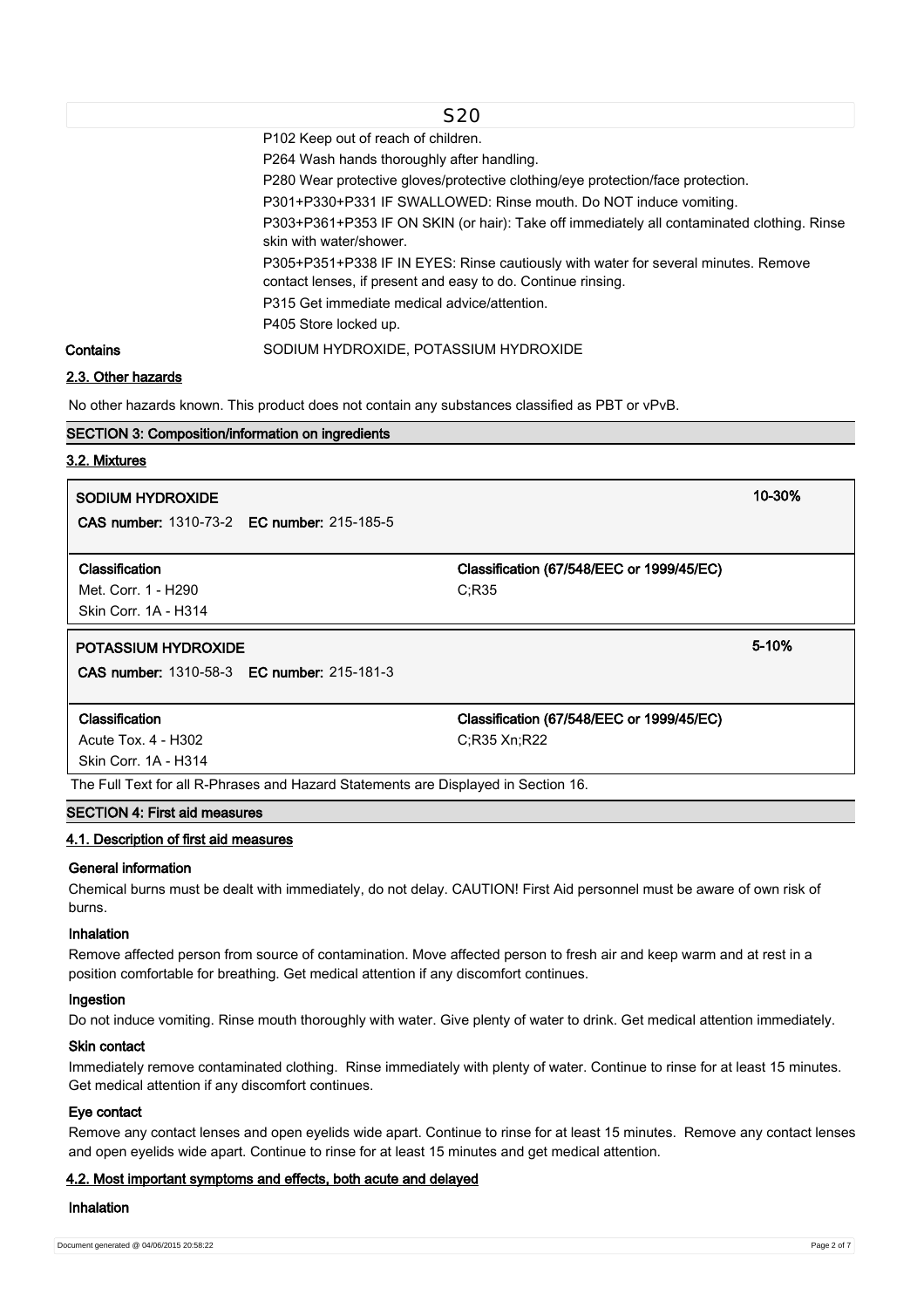|          | S <sub>20</sub>                                                                                                                                    |
|----------|----------------------------------------------------------------------------------------------------------------------------------------------------|
|          | P102 Keep out of reach of children.                                                                                                                |
|          | P264 Wash hands thoroughly after handling.                                                                                                         |
|          | P280 Wear protective gloves/protective clothing/eye protection/face protection.                                                                    |
|          | P301+P330+P331 IF SWALLOWED: Rinse mouth. Do NOT induce vomiting.                                                                                  |
|          | P303+P361+P353 IF ON SKIN (or hair): Take off immediately all contaminated clothing. Rinse<br>skin with water/shower.                              |
|          | P305+P351+P338 IF IN EYES: Rinse cautiously with water for several minutes. Remove<br>contact lenses, if present and easy to do. Continue rinsing. |
|          | P315 Get immediate medical advice/attention.                                                                                                       |
|          | P405 Store locked up.                                                                                                                              |
| Contains | SODIUM HYDROXIDE, POTASSIUM HYDROXIDE                                                                                                              |

## **2.3. Other hazards**

No other hazards known. This product does not contain any substances classified as PBT or vPvB.

# **SECTION 3: Composition/information on ingredients**

### **3.2. Mixtures**

| SODIUM HYDROXIDE                                                                   |                                                    | 10-30% |  |  |  |
|------------------------------------------------------------------------------------|----------------------------------------------------|--------|--|--|--|
| <b>CAS number: 1310-73-2 EC number: 215-185-5</b>                                  |                                                    |        |  |  |  |
| Classification<br>Met. Corr. 1 - H290                                              | Classification (67/548/EEC or 1999/45/EC)<br>C:R35 |        |  |  |  |
| Skin Corr. 1A - H314                                                               |                                                    |        |  |  |  |
| <b>POTASSIUM HYDROXIDE</b>                                                         |                                                    | 5-10%  |  |  |  |
| <b>CAS number: 1310-58-3 EC number: 215-181-3</b>                                  |                                                    |        |  |  |  |
| Classification                                                                     | Classification (67/548/EEC or 1999/45/EC)          |        |  |  |  |
| Acute Tox. 4 - H302                                                                | C:R35 Xn:R22                                       |        |  |  |  |
| Skin Corr. 1A - H314                                                               |                                                    |        |  |  |  |
| The Full Text for all R-Phrases and Hazard Statements are Displayed in Section 16. |                                                    |        |  |  |  |

# **SECTION 4: First aid measures**

#### **4.1. Description of first aid measures**

#### **General information**

Chemical burns must be dealt with immediately, do not delay. CAUTION! First Aid personnel must be aware of own risk of burns.

### **Inhalation**

Remove affected person from source of contamination. Move affected person to fresh air and keep warm and at rest in a position comfortable for breathing. Get medical attention if any discomfort continues.

#### **Ingestion**

Do not induce vomiting. Rinse mouth thoroughly with water. Give plenty of water to drink. Get medical attention immediately.

### **Skin contact**

Immediately remove contaminated clothing. Rinse immediately with plenty of water. Continue to rinse for at least 15 minutes. Get medical attention if any discomfort continues.

## **Eye contact**

Remove any contact lenses and open eyelids wide apart. Continue to rinse for at least 15 minutes. Remove any contact lenses and open eyelids wide apart. Continue to rinse for at least 15 minutes and get medical attention.

### **4.2. Most important symptoms and effects, both acute and delayed**

#### **Inhalation**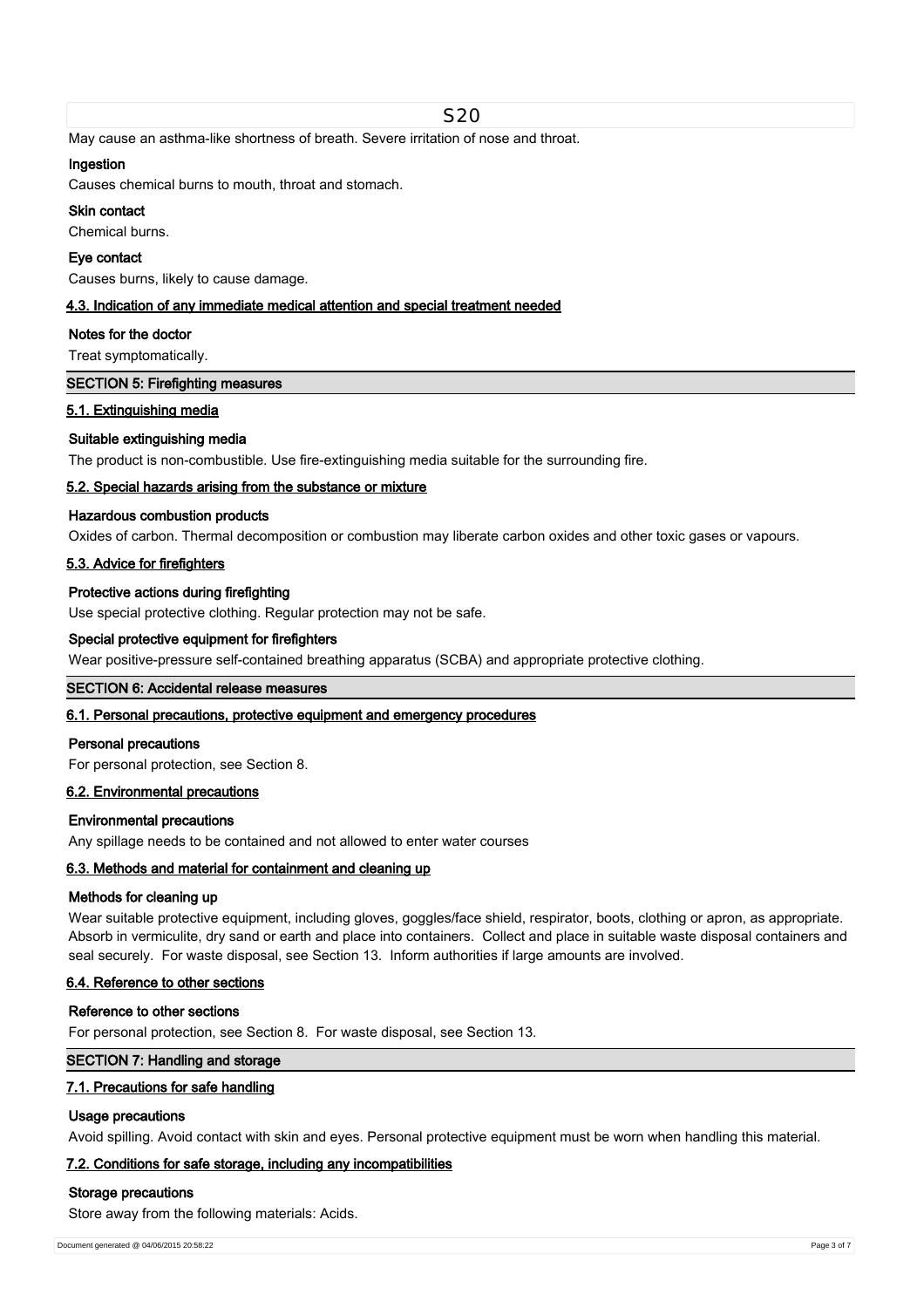May cause an asthma-like shortness of breath. Severe irritation of nose and throat.

### **Ingestion**

Causes chemical burns to mouth, throat and stomach.

# **Skin contact**

Chemical burns.

### **Eye contact**

Causes burns, likely to cause damage.

### **4.3. Indication of any immediate medical attention and special treatment needed**

#### **Notes for the doctor**

Treat symptomatically.

## **SECTION 5: Firefighting measures**

## **5.1. Extinguishing media**

### **Suitable extinguishing media**

The product is non-combustible. Use fire-extinguishing media suitable for the surrounding fire.

### **5.2. Special hazards arising from the substance or mixture**

### **Hazardous combustion products**

Oxides of carbon. Thermal decomposition or combustion may liberate carbon oxides and other toxic gases or vapours.

### **5.3. Advice for firefighters**

### **Protective actions during firefighting**

Use special protective clothing. Regular protection may not be safe.

### **Special protective equipment for firefighters**

Wear positive-pressure self-contained breathing apparatus (SCBA) and appropriate protective clothing.

### **SECTION 6: Accidental release measures**

## **6.1. Personal precautions, protective equipment and emergency procedures**

#### **Personal precautions**

For personal protection, see Section 8.

### **6.2. Environmental precautions**

#### **Environmental precautions**

Any spillage needs to be contained and not allowed to enter water courses

## **6.3. Methods and material for containment and cleaning up**

#### **Methods for cleaning up**

Wear suitable protective equipment, including gloves, goggles/face shield, respirator, boots, clothing or apron, as appropriate. Absorb in vermiculite, dry sand or earth and place into containers. Collect and place in suitable waste disposal containers and seal securely. For waste disposal, see Section 13. Inform authorities if large amounts are involved.

### **6.4. Reference to other sections**

#### **Reference to other sections**

For personal protection, see Section 8. For waste disposal, see Section 13.

## **SECTION 7: Handling and storage**

## **7.1. Precautions for safe handling**

#### **Usage precautions**

Avoid spilling. Avoid contact with skin and eyes. Personal protective equipment must be worn when handling this material.

### **7.2. Conditions for safe storage, including any incompatibilities**

#### **Storage precautions**

Store away from the following materials: Acids.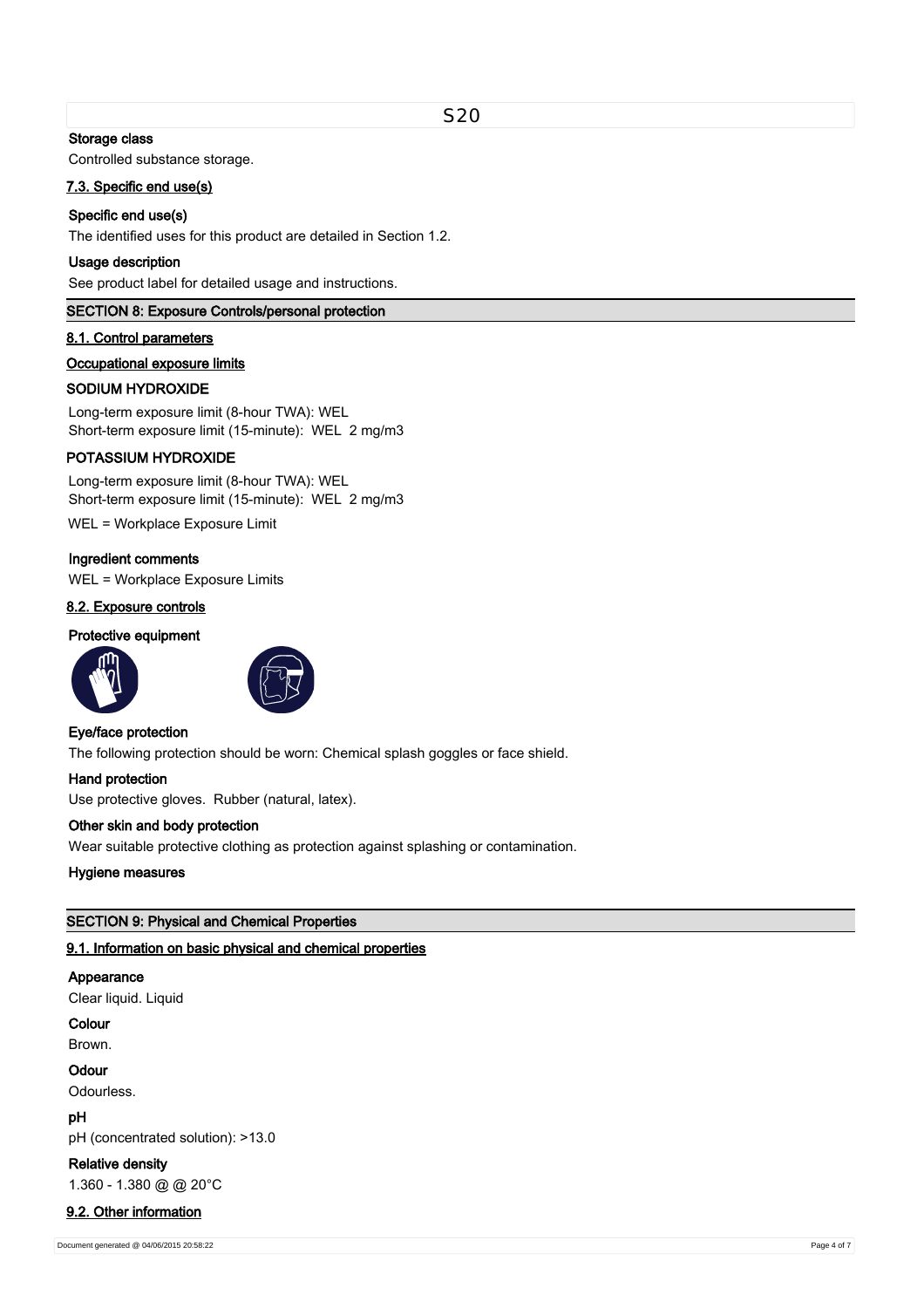### **Storage class**

Controlled substance storage.

#### **7.3. Specific end use(s)**

### **Specific end use(s)**

The identified uses for this product are detailed in Section 1.2.

#### **Usage description**

See product label for detailed usage and instructions.

#### **SECTION 8: Exposure Controls/personal protection**

#### **8.1. Control parameters**

#### **Occupational exposure limits**

#### **SODIUM HYDROXIDE**

Long-term exposure limit (8-hour TWA): WEL Short-term exposure limit (15-minute): WEL 2 mg/m3

### **POTASSIUM HYDROXIDE**

Long-term exposure limit (8-hour TWA): WEL Short-term exposure limit (15-minute): WEL 2 mg/m3

WEL = Workplace Exposure Limit

## **Ingredient comments**

WEL = Workplace Exposure Limits

# **8.2. Exposure controls**

# **Protective equipment**





#### **Eye/face protection**

The following protection should be worn: Chemical splash goggles or face shield.

## **Hand protection**

Use protective gloves. Rubber (natural, latex).

#### **Other skin and body protection**

Wear suitable protective clothing as protection against splashing or contamination.

### **Hygiene measures**

## **SECTION 9: Physical and Chemical Properties**

### **9.1. Information on basic physical and chemical properties**

## **Appearance**

Clear liquid. Liquid

### **Colour**

Brown.

#### **Odour**

Odourless.

## **pH**

pH (concentrated solution): >13.0

**Relative density** 1.360 - 1.380 @ @ 20°C

#### **9.2. Other information**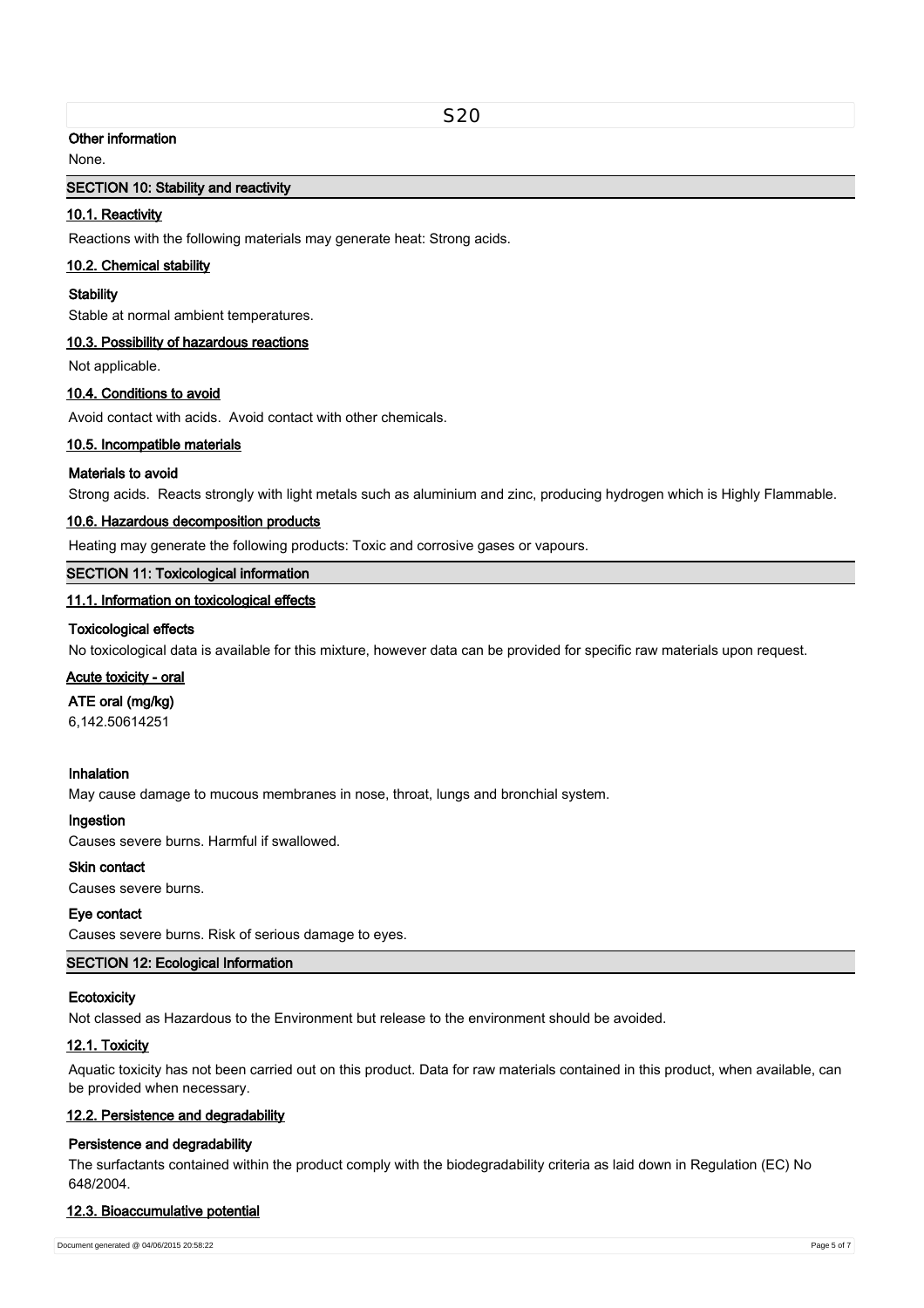### S20

### **Other information**

None.

## **SECTION 10: Stability and reactivity**

## **10.1. Reactivity**

Reactions with the following materials may generate heat: Strong acids.

#### **10.2. Chemical stability**

#### **Stability**

Stable at normal ambient temperatures.

#### **10.3. Possibility of hazardous reactions**

Not applicable.

## **10.4. Conditions to avoid**

Avoid contact with acids. Avoid contact with other chemicals.

### **10.5. Incompatible materials**

### **Materials to avoid**

Strong acids. Reacts strongly with light metals such as aluminium and zinc, producing hydrogen which is Highly Flammable.

### **10.6. Hazardous decomposition products**

Heating may generate the following products: Toxic and corrosive gases or vapours.

## **SECTION 11: Toxicological information**

## **11.1. Information on toxicological effects**

#### **Toxicological effects**

No toxicological data is available for this mixture, however data can be provided for specific raw materials upon request.

# **Acute toxicity - oral**

#### **ATE oral (mg/kg)**

6,142.50614251

### **Inhalation**

May cause damage to mucous membranes in nose, throat, lungs and bronchial system.

#### **Ingestion**

Causes severe burns. Harmful if swallowed.

# **Skin contact**

Causes severe burns.

#### **Eye contact**

Causes severe burns. Risk of serious damage to eyes.

#### **SECTION 12: Ecological Information**

#### **Ecotoxicity**

Not classed as Hazardous to the Environment but release to the environment should be avoided.

### **12.1. Toxicity**

Aquatic toxicity has not been carried out on this product. Data for raw materials contained in this product, when available, can be provided when necessary.

#### **12.2. Persistence and degradability**

#### **Persistence and degradability**

The surfactants contained within the product comply with the biodegradability criteria as laid down in Regulation (EC) No 648/2004.

#### **12.3. Bioaccumulative potential**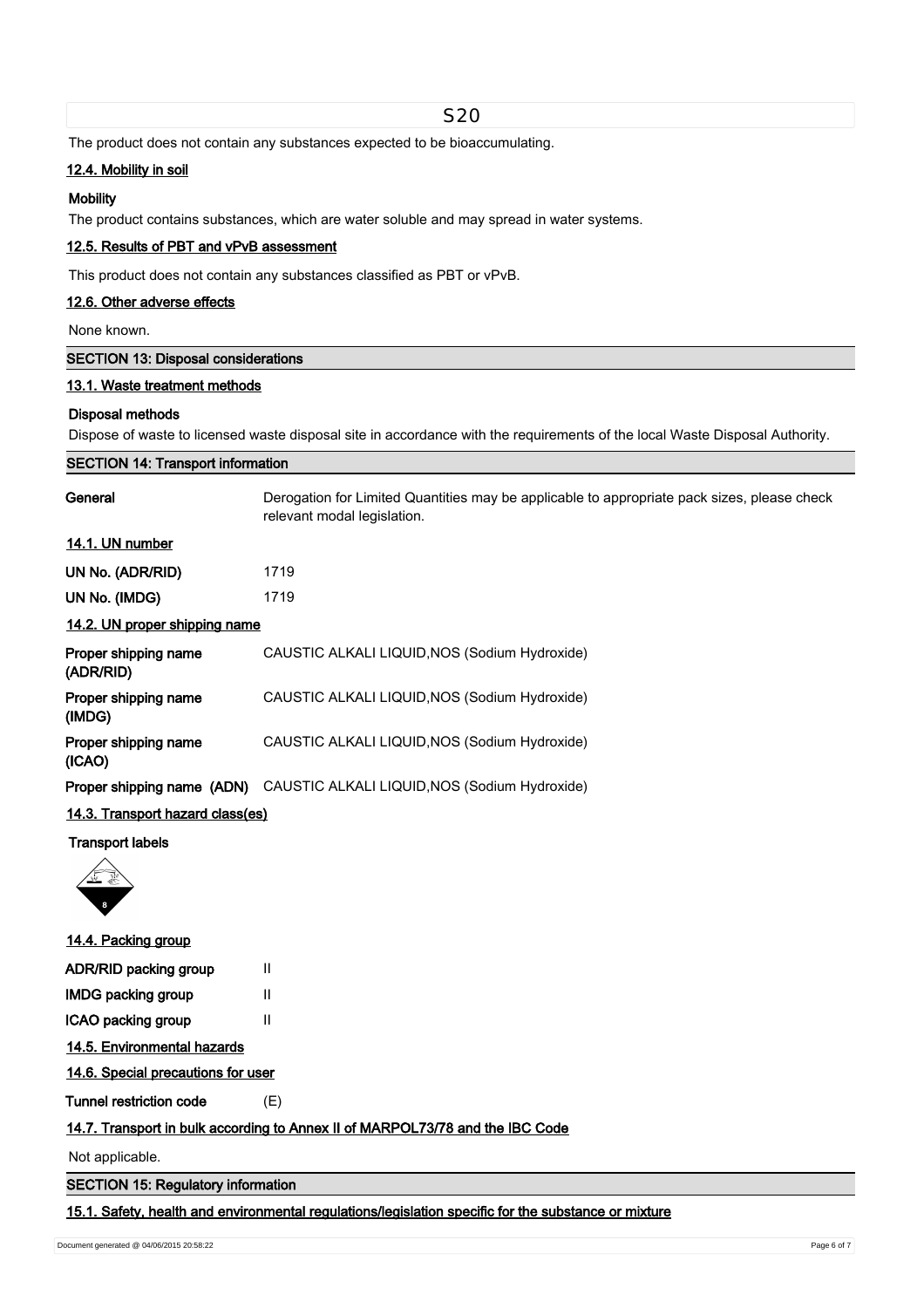| S <sub>20</sub>                            |                                                                                                                             |  |  |  |
|--------------------------------------------|-----------------------------------------------------------------------------------------------------------------------------|--|--|--|
|                                            | The product does not contain any substances expected to be bioaccumulating.                                                 |  |  |  |
| 12.4. Mobility in soil                     |                                                                                                                             |  |  |  |
| <b>Mobility</b>                            |                                                                                                                             |  |  |  |
|                                            | The product contains substances, which are water soluble and may spread in water systems.                                   |  |  |  |
| 12.5. Results of PBT and vPvB assessment   |                                                                                                                             |  |  |  |
|                                            | This product does not contain any substances classified as PBT or vPvB.                                                     |  |  |  |
| 12.6. Other adverse effects                |                                                                                                                             |  |  |  |
| None known.                                |                                                                                                                             |  |  |  |
| <b>SECTION 13: Disposal considerations</b> |                                                                                                                             |  |  |  |
| 13.1. Waste treatment methods              |                                                                                                                             |  |  |  |
| <b>Disposal methods</b>                    |                                                                                                                             |  |  |  |
|                                            | Dispose of waste to licensed waste disposal site in accordance with the requirements of the local Waste Disposal Authority. |  |  |  |
| <b>SECTION 14: Transport information</b>   |                                                                                                                             |  |  |  |
| General                                    | Derogation for Limited Quantities may be applicable to appropriate pack sizes, please check<br>relevant modal legislation.  |  |  |  |
| 14.1. UN number                            |                                                                                                                             |  |  |  |
| UN No. (ADR/RID)                           | 1719                                                                                                                        |  |  |  |
| UN No. (IMDG)                              | 1719                                                                                                                        |  |  |  |
| 14.2. UN proper shipping name              |                                                                                                                             |  |  |  |
| Proper shipping name<br>(ADR/RID)          | CAUSTIC ALKALI LIQUID, NOS (Sodium Hydroxide)                                                                               |  |  |  |
| Proper shipping name<br>(IMDG)             | CAUSTIC ALKALI LIQUID, NOS (Sodium Hydroxide)                                                                               |  |  |  |
| Proper shipping name<br>(ICAO)             | CAUSTIC ALKALI LIQUID, NOS (Sodium Hydroxide)                                                                               |  |  |  |
|                                            | Proper shipping name (ADN) CAUSTIC ALKALI LIQUID, NOS (Sodium Hydroxide)                                                    |  |  |  |
| 14.3. Transport hazard class(es)           |                                                                                                                             |  |  |  |
| <b>Transport labels</b>                    |                                                                                                                             |  |  |  |
|                                            |                                                                                                                             |  |  |  |
| 14.4. Packing group                        |                                                                                                                             |  |  |  |
| ADR/RID packing group                      | Ш                                                                                                                           |  |  |  |
| <b>IMDG packing group</b>                  | Ш                                                                                                                           |  |  |  |
| ICAO packing group                         | Ш                                                                                                                           |  |  |  |
| 14.5. Environmental hazards                |                                                                                                                             |  |  |  |
| 14.6. Special precautions for user         |                                                                                                                             |  |  |  |
| <b>Tunnel restriction code</b>             | (E)                                                                                                                         |  |  |  |
|                                            | 14.7. Transport in bulk according to Annex II of MARPOL73/78 and the IBC Code                                               |  |  |  |
| Not applicable.                            |                                                                                                                             |  |  |  |
| <b>SECTION 15: Regulatory information</b>  |                                                                                                                             |  |  |  |

**15.1. Safety, health and environmental regulations/legislation specific for the substance or mixture**